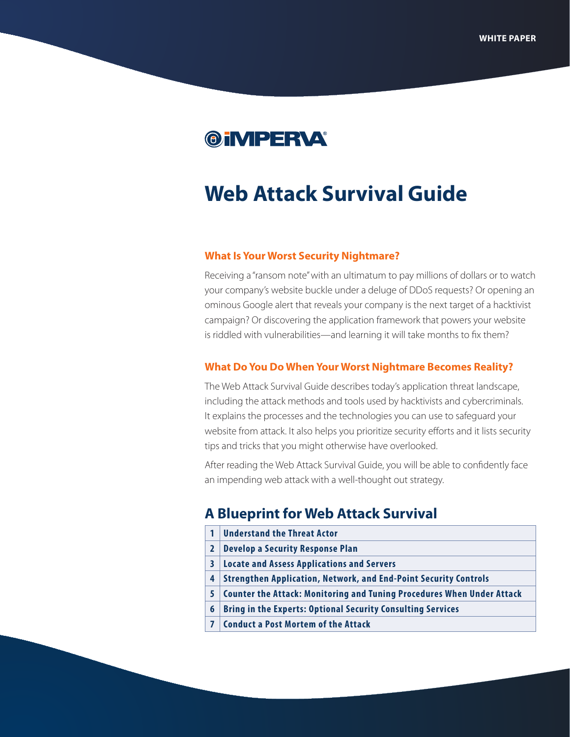

# **Web Attack Survival Guide**

### **What Is Your Worst Security Nightmare?**

Receiving a "ransom note" with an ultimatum to pay millions of dollars or to watch your company's website buckle under a deluge of DDoS requests? Or opening an ominous Google alert that reveals your company is the next target of a hacktivist campaign? Or discovering the application framework that powers your website is riddled with vulnerabilities—and learning it will take months to fix them?

#### **What Do You Do When Your Worst Nightmare Becomes Reality?**

The Web Attack Survival Guide describes today's application threat landscape, including the attack methods and tools used by hacktivists and cybercriminals. It explains the processes and the technologies you can use to safeguard your website from attack. It also helps you prioritize security efforts and it lists security tips and tricks that you might otherwise have overlooked.

After reading the Web Attack Survival Guide, you will be able to confidently face an impending web attack with a well-thought out strategy.

# **A Blueprint for Web Attack Survival**

- **[1](#page-2-0) [Understand the Threat Actor](#page-2-0)**
- **[2](#page-3-0) [Develop a Security Response Plan](#page-3-0)**
- **[3](#page-4-0) [Locate and Assess Applications and Servers](#page-4-0)**
- **[4](#page-6-0) [Strengthen Application, Network, and End-Point Security Controls](#page-6-0)**
- **[5](#page-8-0) [Counter the Attack: Monitoring and Tuning Procedures When Under Attack](#page-8-0)**
- **[6](#page-9-0) [Bring in the Experts: Optional Security Consulting Services](#page-9-0)**
- **[7](#page-9-1) [Conduct a Post Mortem of the Attack](#page-9-1)**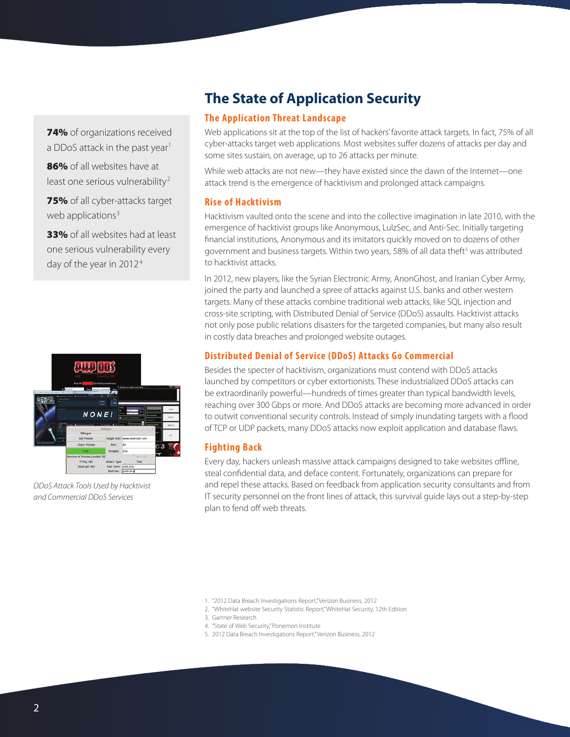74% of organizations received a DDoS attack in the past year<sup>1</sup>

86% of all websites have at least one serious vulnerability<sup>2</sup>

75% of all cyber-attacks target web applications $3$ 

33% of all websites had at least one serious vulnerability every day of the year in 20124



*DDoS Attack Tools Used by Hacktivist and Commercial DDoS Services*

# **The State of Application Security**

# **The Application Threat Landscape**

Web applications sit at the top of the list of hackers' favorite attack targets. In fact, 75% of all cyber-attacks target web applications. Most websites suffer dozens of attacks per day and some sites sustain, on average, up to 26 attacks per minute.

While web attacks are not new—they have existed since the dawn of the Internet—one attack trend is the emergence of hacktivism and prolonged attack campaigns.

## **Rise of Hacktivism**

Hacktivism vaulted onto the scene and into the collective imagination in late 2010, with the emergence of hacktivist groups like Anonymous, LulzSec, and Anti-Sec. Initially targeting financial institutions, Anonymous and its imitators quickly moved on to dozens of other government and business targets. Within two years, 58% of all data theft<sup>5</sup> was attributed to hacktivist attacks.

In 2012, new players, like the Syrian Electronic Army, AnonGhost, and Iranian Cyber Army, joined the party and launched a spree of attacks against U.S. banks and other western targets. Many of these attacks combine traditional web attacks, like SQL injection and cross-site scripting, with Distributed Denial of Service (DDoS) assaults. Hacktivist attacks not only pose public relations disasters for the targeted companies, but many also result in costly data breaches and prolonged website outages.

# **Distributed Denial of Service (DDoS) Attacks Go Commercial**

Besides the specter of hacktivism, organizations must contend with DDoS attacks launched by competitors or cyber extortionists. These industrialized DDoS attacks can be extraordinarily powerful—hundreds of times greater than typical bandwidth levels, reaching over 300 Gbps or more. And DDoS attacks are becoming more advanced in order to outwit conventional security controls. Instead of simply inundating targets with a flood of TCP or UDP packets, many DDoS attacks now exploit application and database flaws.

# **Fighting Back**

Every day, hackers unleash massive attack campaigns designed to take websites offline, steal confidential data, and deface content. Fortunately, organizations can prepare for and repel these attacks. Based on feedback from application security consultants and from IT security personnel on the front lines of attack, this survival guide lays out a step-by-step plan to fend off web threats.

- 4. "State of Web Security," Ponemon Institute
- 5. 2012 Data Breach Investigations Report," Verizon Business, 2012

<sup>1.</sup> "2012 Data Breach Investigations Report," Verizon Business, 2012

<sup>2.</sup> "WhiteHat website Security Statistic Report," WhiteHat Security, 12th Edition

<sup>3.</sup> Gartner Research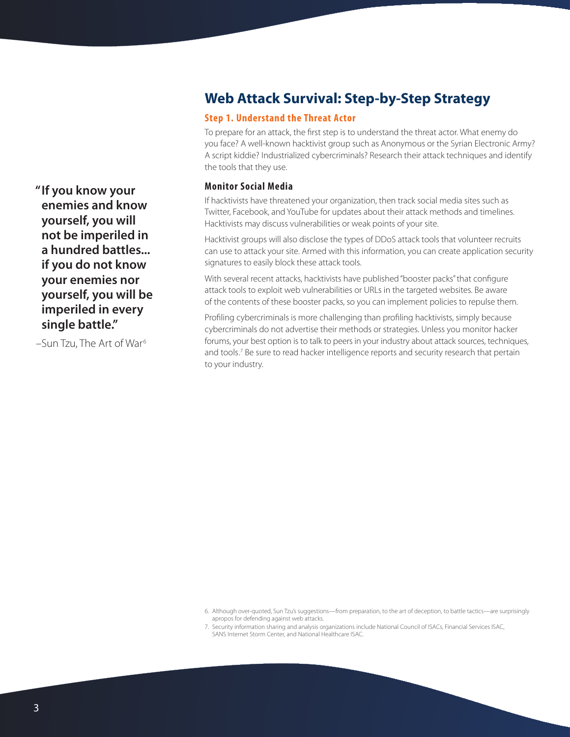# **Web Attack Survival: Step-by-Step Strategy**

# <span id="page-2-0"></span>**Step 1. Understand the Threat Actor**

To prepare for an attack, the first step is to understand the threat actor. What enemy do you face? A well-known hacktivist group such as Anonymous or the Syrian Electronic Army? A script kiddie? Industrialized cybercriminals? Research their attack techniques and identify the tools that they use.

#### **Monitor Social Media**

If hacktivists have threatened your organization, then track social media sites such as Twitter, Facebook, and YouTube for updates about their attack methods and timelines. Hacktivists may discuss vulnerabilities or weak points of your site.

Hacktivist groups will also disclose the types of DDoS attack tools that volunteer recruits can use to attack your site. Armed with this information, you can create application security signatures to easily block these attack tools.

With several recent attacks, hacktivists have published "booster packs" that configure attack tools to exploit web vulnerabilities or URLs in the targeted websites. Be aware of the contents of these booster packs, so you can implement policies to repulse them.

Profiling cybercriminals is more challenging than profiling hacktivists, simply because cybercriminals do not advertise their methods or strategies. Unless you monitor hacker forums, your best option is to talk to peers in your industry about attack sources, techniques, and tools.<sup>7</sup> Be sure to read hacker intelligence reports and security research that pertain to your industry.

 **"If you know your enemies and know yourself, you will not be imperiled in a hundred battles... if you do not know your enemies nor yourself, you will be imperiled in every single battle."**

-Sun Tzu, The Art of War<sup>6</sup>

<sup>6.</sup> Although over-quoted, Sun Tzu's suggestions—from preparation, to the art of deception, to battle tactics—are surprisingly apropos for defending against web attacks.

<sup>7.</sup> Security information sharing and analysis organizations include [National Council of ISACs](http://www.isaccouncil.org), [Financial Services ISAC,](https://www.fsisac.com) SANS [Internet Storm Center](https://isc.sans.edu), and [National Healthcare ISAC.](http://www.nhisac.org)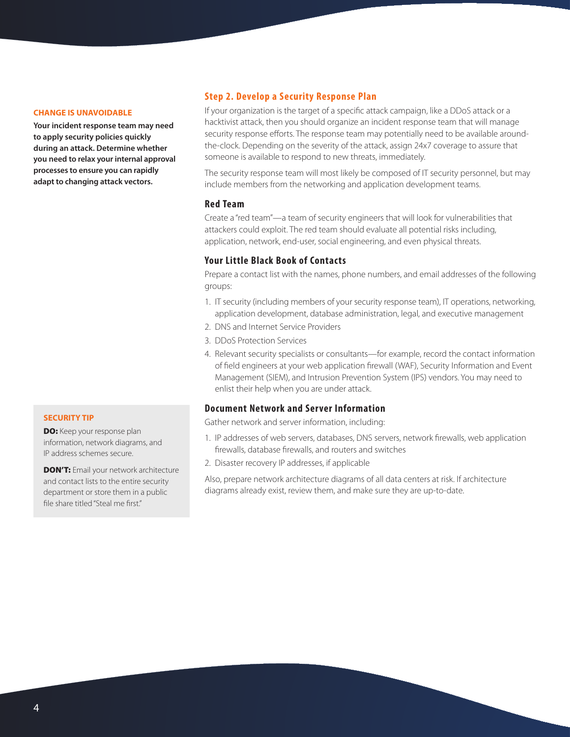#### **CHANGE IS UNAVOIDABLE**

**Your incident response team may need to apply security policies quickly during an attack. Determine whether you need to relax your internal approval processes to ensure you can rapidly adapt to changing attack vectors.**

#### **SECURITY TIP**

DO: Keep your response plan information, network diagrams, and IP address schemes secure.

**DON'T:** Email your network architecture and contact lists to the entire security department or store them in a public file share titled "Steal me first."

# <span id="page-3-0"></span>**Step 2. Develop a Security Response Plan**

If your organization is the target of a specific attack campaign, like a DDoS attack or a hacktivist attack, then you should organize an incident response team that will manage security response efforts. The response team may potentially need to be available aroundthe-clock. Depending on the severity of the attack, assign 24x7 coverage to assure that someone is available to respond to new threats, immediately.

The security response team will most likely be composed of IT security personnel, but may include members from the networking and application development teams.

#### **Red Team**

Create a "red team"—a team of security engineers that will look for vulnerabilities that attackers could exploit. The red team should evaluate all potential risks including, application, network, end-user, social engineering, and even physical threats.

## **Your Little Black Book of Contacts**

Prepare a contact list with the names, phone numbers, and email addresses of the following groups:

- 1. IT security (including members of your security response team), IT operations, networking, application development, database administration, legal, and executive management
- 2. DNS and Internet Service Providers
- 3. DDoS Protection Services
- 4. Relevant security specialists or consultants—for example, record the contact information of field engineers at your web application firewall (WAF), Security Information and Event Management (SIEM), and Intrusion Prevention System (IPS) vendors. You may need to enlist their help when you are under attack.

#### **Document Network and Server Information**

Gather network and server information, including:

- 1. IP addresses of web servers, databases, DNS servers, network firewalls, web application firewalls, database firewalls, and routers and switches
- 2. Disaster recovery IP addresses, if applicable

Also, prepare network architecture diagrams of all data centers at risk. If architecture diagrams already exist, review them, and make sure they are up-to-date.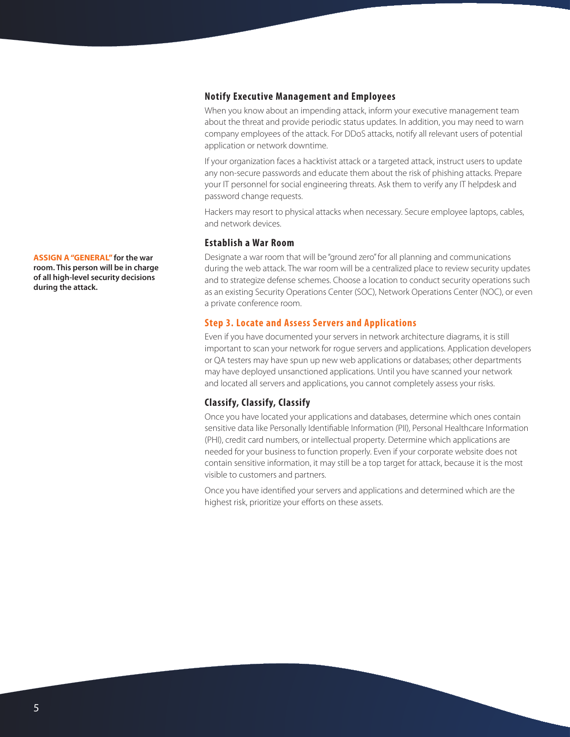## **Notify Executive Management and Employees**

When you know about an impending attack, inform your executive management team about the threat and provide periodic status updates. In addition, you may need to warn company employees of the attack. For DDoS attacks, notify all relevant users of potential application or network downtime.

If your organization faces a hacktivist attack or a targeted attack, instruct users to update any non-secure passwords and educate them about the risk of phishing attacks. Prepare your IT personnel for social engineering threats. Ask them to verify any IT helpdesk and password change requests.

Hackers may resort to physical attacks when necessary. Secure employee laptops, cables, and network devices.

#### **Establish a War Room**

Designate a war room that will be "ground zero" for all planning and communications during the web attack. The war room will be a centralized place to review security updates and to strategize defense schemes. Choose a location to conduct security operations such as an existing Security Operations Center (SOC), Network Operations Center (NOC), or even a private conference room.

## <span id="page-4-0"></span>**Step 3. Locate and Assess Servers and Applications**

Even if you have documented your servers in network architecture diagrams, it is still important to scan your network for rogue servers and applications. Application developers or QA testers may have spun up new web applications or databases; other departments may have deployed unsanctioned applications. Until you have scanned your network and located all servers and applications, you cannot completely assess your risks.

#### **Classify, Classify, Classify**

Once you have located your applications and databases, determine which ones contain sensitive data like Personally Identifiable Information (PII), Personal Healthcare Information (PHI), credit card numbers, or intellectual property. Determine which applications are needed for your business to function properly. Even if your corporate website does not contain sensitive information, it may still be a top target for attack, because it is the most visible to customers and partners.

Once you have identified your servers and applications and determined which are the highest risk, prioritize your efforts on these assets.

**ASSIGN A "GENERAL" for the war room. This person will be in charge of all high-level security decisions during the attack.**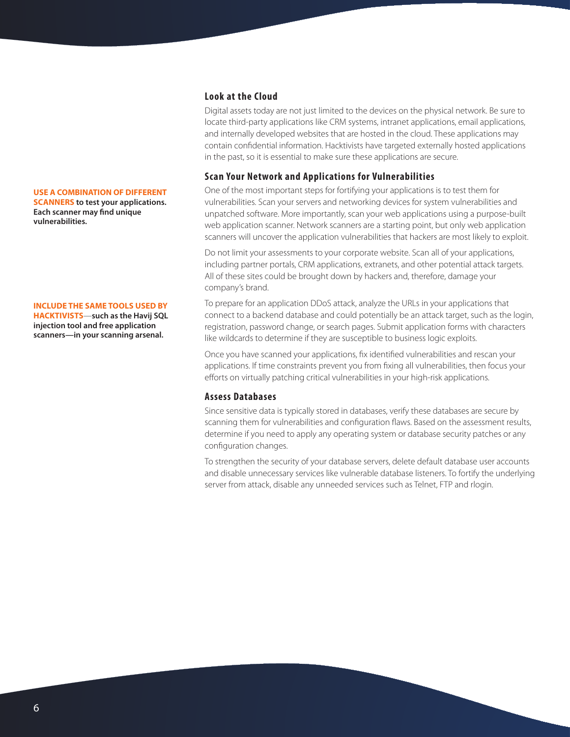#### **USE A COMBINATION OF DIFFERENT**

**SCANNERS to test your applications. Each scanner may find unique vulnerabilities.**

#### **INCLUDE THE SAME TOOLS USED BY**

**HACKTIVISTS**—**such as the Havij SQL injection tool and free application scanners—in your scanning arsenal.**

#### **Look at the Cloud**

Digital assets today are not just limited to the devices on the physical network. Be sure to locate third-party applications like CRM systems, intranet applications, email applications, and internally developed websites that are hosted in the cloud. These applications may contain confidential information. Hacktivists have targeted externally hosted applications in the past, so it is essential to make sure these applications are secure.

#### **Scan Your Network and Applications for Vulnerabilities**

One of the most important steps for fortifying your applications is to test them for vulnerabilities. Scan your servers and networking devices for system vulnerabilities and unpatched software. More importantly, scan your web applications using a purpose-built web application scanner. Network scanners are a starting point, but only web application scanners will uncover the application vulnerabilities that hackers are most likely to exploit.

Do not limit your assessments to your corporate website. Scan all of your applications, including partner portals, CRM applications, extranets, and other potential attack targets. All of these sites could be brought down by hackers and, therefore, damage your company's brand.

To prepare for an application DDoS attack, analyze the URLs in your applications that connect to a backend database and could potentially be an attack target, such as the login, registration, password change, or search pages. Submit application forms with characters like wildcards to determine if they are susceptible to business logic exploits.

Once you have scanned your applications, fix identified vulnerabilities and rescan your applications. If time constraints prevent you from fixing all vulnerabilities, then focus your efforts on virtually patching critical vulnerabilities in your high-risk applications.

#### **Assess Databases**

Since sensitive data is typically stored in databases, verify these databases are secure by scanning them for vulnerabilities and configuration flaws. Based on the assessment results, determine if you need to apply any operating system or database security patches or any configuration changes.

To strengthen the security of your database servers, delete default database user accounts and disable unnecessary services like vulnerable database listeners. To fortify the underlying server from attack, disable any unneeded services such as Telnet, FTP and rlogin.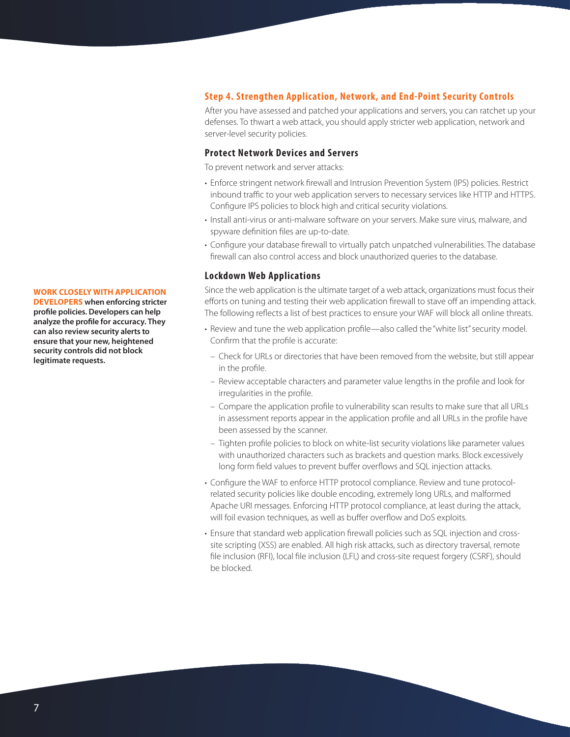#### <span id="page-6-0"></span>**Step 4. Strengthen Application, Network, and End-Point Security Controls**

After you have assessed and patched your applications and servers, you can ratchet up your defenses. To thwart a web attack, you should apply stricter web application, network and server-level security policies.

### **Protect Network Devices and Servers**

To prevent network and server attacks:

- Enforce stringent network firewall and Intrusion Prevention System (IPS) policies. Restrict inbound traffic to your web application servers to necessary services like HTTP and HTTPS. Configure IPS policies to block high and critical security violations.
- Install anti-virus or anti-malware software on your servers. Make sure virus, malware, and spyware definition files are up-to-date.
- Configure your database firewall to virtually patch unpatched vulnerabilities. The database firewall can also control access and block unauthorized queries to the database.

#### **Lockdown Web Applications**

Since the web application is the ultimate target of a web attack, organizations must focus their efforts on tuning and testing their web application firewall to stave off an impending attack. The following reflects a list of best practices to ensure your WAF will block all online threats.

- Review and tune the web application profile—also called the "white list" security model. Confirm that the profile is accurate:
- Check for URLs or directories that have been removed from the website, but still appear in the profile.
- Review acceptable characters and parameter value lengths in the profile and look for irregularities in the profile.
- Compare the application profile to vulnerability scan results to make sure that all URLs in assessment reports appear in the application profile and all URLs in the profile have been assessed by the scanner.
- Tighten profile policies to block on white-list security violations like parameter values with unauthorized characters such as brackets and question marks. Block excessively long form field values to prevent buffer overflows and SQL injection attacks.
- Configure the WAF to enforce HTTP protocol compliance. Review and tune protocolrelated security policies like double encoding, extremely long URLs, and malformed Apache URI messages. Enforcing HTTP protocol compliance, at least during the attack, will foil evasion techniques, as well as buffer overflow and DoS exploits.
- Ensure that standard web application firewall policies such as SQL injection and crosssite scripting (XSS) are enabled. All high risk attacks, such as directory traversal, remote file inclusion (RFI), local file inclusion (LFI,) and cross-site request forgery (CSRF), should be blocked.

#### **WORK CLOSELY WITH APPLICATION**

**DEVELOPERS when enforcing stricter profile policies. Developers can help analyze the profile for accuracy. They can also review security alerts to ensure that your new, heightened security controls did not block legitimate requests.**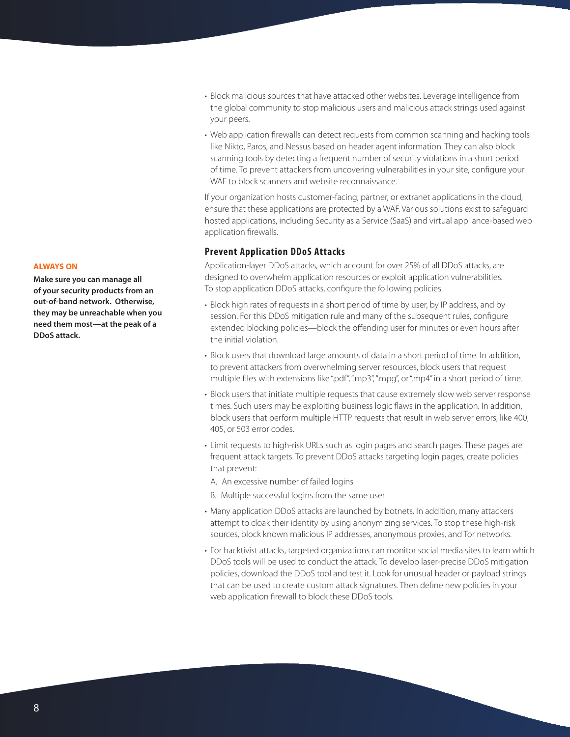**ALWAYS ON**

**Make sure you can manage all of your security products from an out-of-band network. Otherwise, they may be unreachable when you need them most—at the peak of a DDoS attack.**

- Block malicious sources that have attacked other websites. Leverage intelligence from the global community to stop malicious users and malicious attack strings used against your peers.
- Web application firewalls can detect requests from common scanning and hacking tools like Nikto, Paros, and Nessus based on header agent information. They can also block scanning tools by detecting a frequent number of security violations in a short period of time. To prevent attackers from uncovering vulnerabilities in your site, configure your WAF to block scanners and website reconnaissance.

If your organization hosts customer-facing, partner, or extranet applications in the cloud, ensure that these applications are protected by a WAF. Various solutions exist to safeguard hosted applications, including Security as a Service (SaaS) and virtual appliance-based web application firewalls.

# **Prevent Application DDoS Attacks**

Application-layer DDoS attacks, which account for over 25% of all DDoS attacks, are designed to overwhelm application resources or exploit application vulnerabilities. To stop application DDoS attacks, configure the following policies.

- Block high rates of requests in a short period of time by user, by IP address, and by session. For this DDoS mitigation rule and many of the subsequent rules, configure extended blocking policies—block the offending user for minutes or even hours after the initial violation.
- Block users that download large amounts of data in a short period of time. In addition, to prevent attackers from overwhelming server resources, block users that request multiple files with extensions like ".pdf", ".mp3", ".mpg", or ".mp4" in a short period of time.
- Block users that initiate multiple requests that cause extremely slow web server response times. Such users may be exploiting business logic flaws in the application. In addition, block users that perform multiple HTTP requests that result in web server errors, like 400, 405, or 503 error codes.
- Limit requests to high-risk URLs such as login pages and search pages. These pages are frequent attack targets. To prevent DDoS attacks targeting login pages, create policies that prevent:
- A. An excessive number of failed logins
- B. Multiple successful logins from the same user
- Many application DDoS attacks are launched by botnets. In addition, many attackers attempt to cloak their identity by using anonymizing services. To stop these high-risk sources, block known malicious IP addresses, anonymous proxies, and Tor networks.
- For hacktivist attacks, targeted organizations can monitor social media sites to learn which DDoS tools will be used to conduct the attack. To develop laser-precise DDoS mitigation policies, download the DDoS tool and test it. Look for unusual header or payload strings that can be used to create custom attack signatures. Then define new policies in your web application firewall to block these DDoS tools.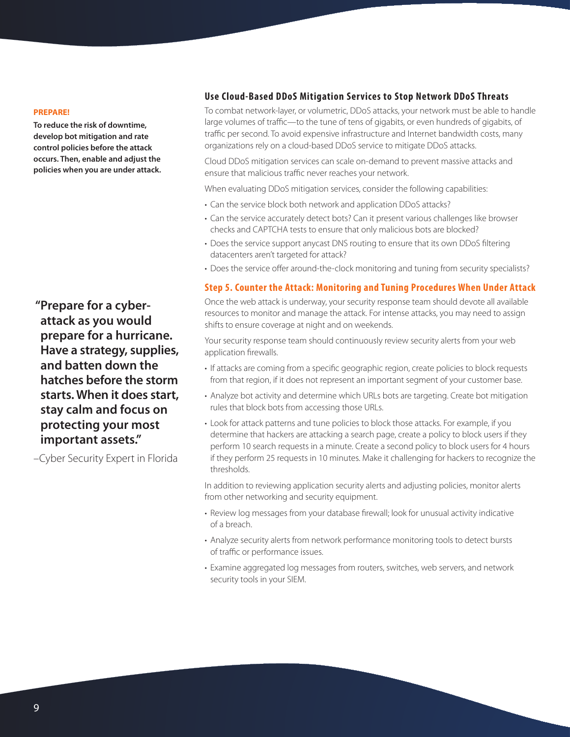#### **PREPARE!**

**To reduce the risk of downtime, develop bot mitigation and rate control policies before the attack occurs. Then, enable and adjust the policies when you are under attack.** 

 **"Prepare for a cyberattack as you would prepare for a hurricane. Have a strategy, supplies, and batten down the hatches before the storm starts. When it does start, stay calm and focus on protecting your most important assets."**

–Cyber Security Expert in Florida

# **Use Cloud-Based DDoS Mitigation Services to Stop Network DDoS Threats**

To combat network-layer, or volumetric, DDoS attacks, your network must be able to handle large volumes of traffic—to the tune of tens of gigabits, or even hundreds of gigabits, of traffic per second. To avoid expensive infrastructure and Internet bandwidth costs, many organizations rely on a cloud-based DDoS service to mitigate DDoS attacks.

Cloud DDoS mitigation services can scale on-demand to prevent massive attacks and ensure that malicious traffic never reaches your network.

When evaluating DDoS mitigation services, consider the following capabilities:

- Can the service block both network and application DDoS attacks?
- Can the service accurately detect bots? Can it present various challenges like browser checks and CAPTCHA tests to ensure that only malicious bots are blocked?
- Does the service support anycast DNS routing to ensure that its own DDoS filtering datacenters aren't targeted for attack?
- Does the service offer around-the-clock monitoring and tuning from security specialists?

### <span id="page-8-0"></span>**Step 5. Counter the Attack: Monitoring and Tuning Procedures When Under Attack**

Once the web attack is underway, your security response team should devote all available resources to monitor and manage the attack. For intense attacks, you may need to assign shifts to ensure coverage at night and on weekends.

Your security response team should continuously review security alerts from your web application firewalls.

- If attacks are coming from a specific geographic region, create policies to block requests from that region, if it does not represent an important segment of your customer base.
- Analyze bot activity and determine which URLs bots are targeting. Create bot mitigation rules that block bots from accessing those URLs.
- Look for attack patterns and tune policies to block those attacks. For example, if you determine that hackers are attacking a search page, create a policy to block users if they perform 10 search requests in a minute. Create a second policy to block users for 4 hours if they perform 25 requests in 10 minutes. Make it challenging for hackers to recognize the thresholds.

In addition to reviewing application security alerts and adjusting policies, monitor alerts from other networking and security equipment.

- Review log messages from your database firewall; look for unusual activity indicative of a breach.
- Analyze security alerts from network performance monitoring tools to detect bursts of traffic or performance issues.
- Examine aggregated log messages from routers, switches, web servers, and network security tools in your SIEM.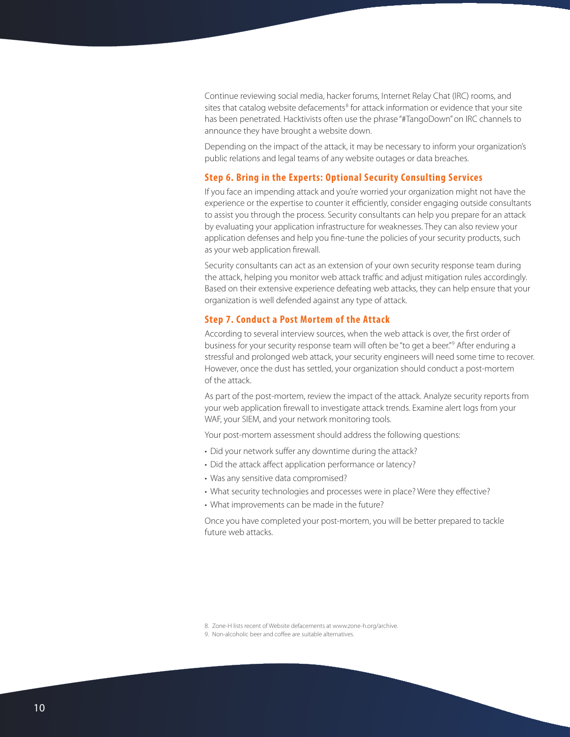Continue reviewing social media, hacker forums, Internet Relay Chat (IRC) rooms, and sites that catalog website defacements<sup>8</sup> for attack information or evidence that your site has been penetrated. Hacktivists often use the phrase "#TangoDown" on IRC channels to announce they have brought a website down.

Depending on the impact of the attack, it may be necessary to inform your organization's public relations and legal teams of any website outages or data breaches.

#### <span id="page-9-0"></span>**Step 6. Bring in the Experts: Optional Security Consulting Services**

If you face an impending attack and you're worried your organization might not have the experience or the expertise to counter it efficiently, consider engaging outside consultants to assist you through the process. Security consultants can help you prepare for an attack by evaluating your application infrastructure for weaknesses. They can also review your application defenses and help you fine-tune the policies of your security products, such as your web application firewall.

Security consultants can act as an extension of your own security response team during the attack, helping you monitor web attack traffic and adjust mitigation rules accordingly. Based on their extensive experience defeating web attacks, they can help ensure that your organization is well defended against any type of attack.

#### <span id="page-9-1"></span>**Step 7. Conduct a Post Mortem of the Attack**

According to several interview sources, when the web attack is over, the first order of business for your security response team will often be "to get a beer."9 After enduring a stressful and prolonged web attack, your security engineers will need some time to recover. However, once the dust has settled, your organization should conduct a post-mortem of the attack.

As part of the post-mortem, review the impact of the attack. Analyze security reports from your web application firewall to investigate attack trends. Examine alert logs from your WAF, your SIEM, and your network monitoring tools.

Your post-mortem assessment should address the following questions:

- Did your network suffer any downtime during the attack?
- Did the attack affect application performance or latency?
- Was any sensitive data compromised?
- What security technologies and processes were in place? Were they effective?
- What improvements can be made in the future?

Once you have completed your post-mortem, you will be better prepared to tackle future web attacks.

<sup>8.</sup> Zone-H lists recent of Website defacements at [www.zone-h.org/archive.](http://www.zone-h.org/archive)

<sup>9.</sup> Non-alcoholic beer and coffee are suitable alternatives.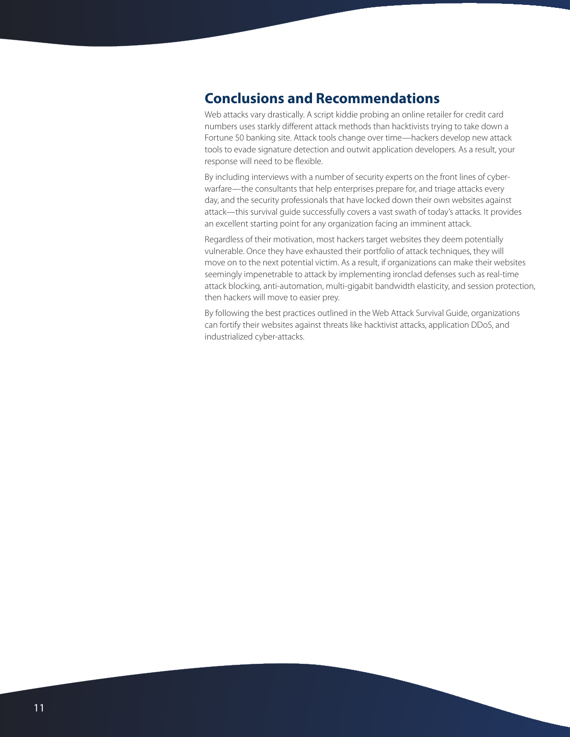# **Conclusions and Recommendations**

Web attacks vary drastically. A script kiddie probing an online retailer for credit card numbers uses starkly different attack methods than hacktivists trying to take down a Fortune 50 banking site. Attack tools change over time—hackers develop new attack tools to evade signature detection and outwit application developers. As a result, your response will need to be flexible.

By including interviews with a number of security experts on the front lines of cyberwarfare—the consultants that help enterprises prepare for, and triage attacks every day, and the security professionals that have locked down their own websites against attack—this survival guide successfully covers a vast swath of today's attacks. It provides an excellent starting point for any organization facing an imminent attack.

Regardless of their motivation, most hackers target websites they deem potentially vulnerable. Once they have exhausted their portfolio of attack techniques, they will move on to the next potential victim. As a result, if organizations can make their websites seemingly impenetrable to attack by implementing ironclad defenses such as real-time attack blocking, anti-automation, multi-gigabit bandwidth elasticity, and session protection, then hackers will move to easier prey.

By following the best practices outlined in the Web Attack Survival Guide, organizations can fortify their websites against threats like hacktivist attacks, application DDoS, and industrialized cyber-attacks.